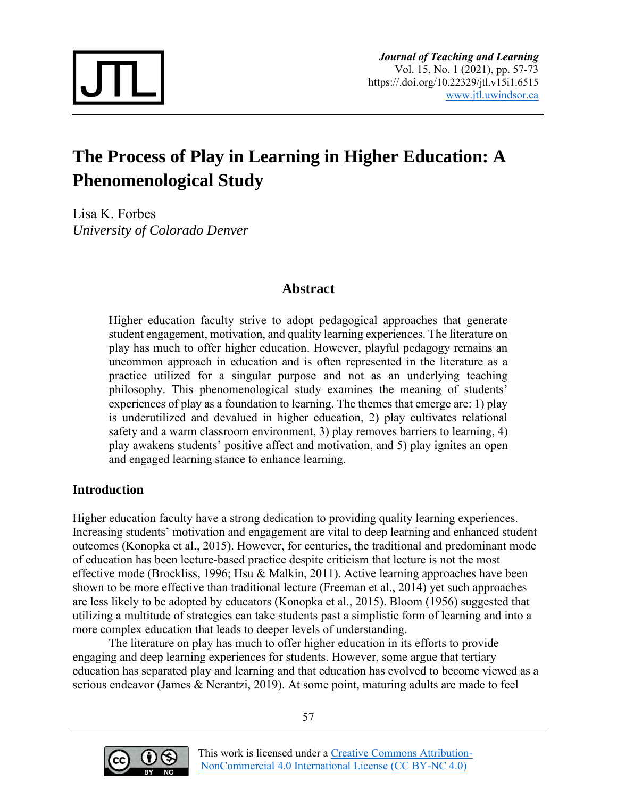

# **The Process of Play in Learning in Higher Education: A Phenomenological Study**

Lisa K. Forbes *University of Colorado Denver*

# **Abstract**

Higher education faculty strive to adopt pedagogical approaches that generate student engagement, motivation, and quality learning experiences. The literature on play has much to offer higher education. However, playful pedagogy remains an uncommon approach in education and is often represented in the literature as a practice utilized for a singular purpose and not as an underlying teaching philosophy. This phenomenological study examines the meaning of students' experiences of play as a foundation to learning. The themes that emerge are: 1) play is underutilized and devalued in higher education, 2) play cultivates relational safety and a warm classroom environment, 3) play removes barriers to learning, 4) play awakens students' positive affect and motivation, and 5) play ignites an open and engaged learning stance to enhance learning.

# **Introduction**

Higher education faculty have a strong dedication to providing quality learning experiences. Increasing students' motivation and engagement are vital to deep learning and enhanced student outcomes (Konopka et al., 2015). However, for centuries, the traditional and predominant mode of education has been lecture-based practice despite criticism that lecture is not the most effective mode (Brockliss, 1996; Hsu & Malkin, 2011). Active learning approaches have been shown to be more effective than traditional lecture (Freeman et al., 2014) yet such approaches are less likely to be adopted by educators (Konopka et al., 2015). Bloom (1956) suggested that utilizing a multitude of strategies can take students past a simplistic form of learning and into a more complex education that leads to deeper levels of understanding.

The literature on play has much to offer higher education in its efforts to provide engaging and deep learning experiences for students. However, some argue that tertiary education has separated play and learning and that education has evolved to become viewed as a serious endeavor (James & Nerantzi, 2019). At some point, maturing adults are made to feel

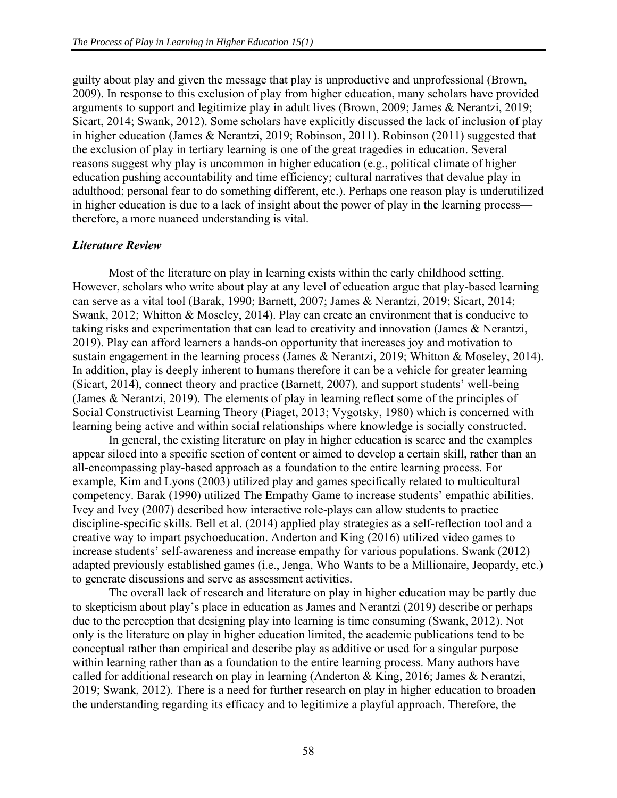guilty about play and given the message that play is unproductive and unprofessional (Brown, 2009). In response to this exclusion of play from higher education, many scholars have provided arguments to support and legitimize play in adult lives (Brown, 2009; James & Nerantzi, 2019; Sicart, 2014; Swank, 2012). Some scholars have explicitly discussed the lack of inclusion of play in higher education (James & Nerantzi, 2019; Robinson, 2011). Robinson (2011) suggested that the exclusion of play in tertiary learning is one of the great tragedies in education. Several reasons suggest why play is uncommon in higher education (e.g., political climate of higher education pushing accountability and time efficiency; cultural narratives that devalue play in adulthood; personal fear to do something different, etc.). Perhaps one reason play is underutilized in higher education is due to a lack of insight about the power of play in the learning process therefore, a more nuanced understanding is vital.

#### *Literature Review*

Most of the literature on play in learning exists within the early childhood setting. However, scholars who write about play at any level of education argue that play-based learning can serve as a vital tool (Barak, 1990; Barnett, 2007; James & Nerantzi, 2019; Sicart, 2014; Swank, 2012; Whitton & Moseley, 2014). Play can create an environment that is conducive to taking risks and experimentation that can lead to creativity and innovation (James & Nerantzi, 2019). Play can afford learners a hands-on opportunity that increases joy and motivation to sustain engagement in the learning process (James & Nerantzi, 2019; Whitton & Moseley, 2014). In addition, play is deeply inherent to humans therefore it can be a vehicle for greater learning (Sicart, 2014), connect theory and practice (Barnett, 2007), and support students' well-being (James & Nerantzi, 2019). The elements of play in learning reflect some of the principles of Social Constructivist Learning Theory (Piaget, 2013; Vygotsky, 1980) which is concerned with learning being active and within social relationships where knowledge is socially constructed.

In general, the existing literature on play in higher education is scarce and the examples appear siloed into a specific section of content or aimed to develop a certain skill, rather than an all-encompassing play-based approach as a foundation to the entire learning process. For example, Kim and Lyons (2003) utilized play and games specifically related to multicultural competency. Barak (1990) utilized The Empathy Game to increase students' empathic abilities. Ivey and Ivey (2007) described how interactive role-plays can allow students to practice discipline-specific skills. Bell et al. (2014) applied play strategies as a self-reflection tool and a creative way to impart psychoeducation. Anderton and King (2016) utilized video games to increase students' self-awareness and increase empathy for various populations. Swank (2012) adapted previously established games (i.e., Jenga, Who Wants to be a Millionaire, Jeopardy, etc.) to generate discussions and serve as assessment activities.

The overall lack of research and literature on play in higher education may be partly due to skepticism about play's place in education as James and Nerantzi (2019) describe or perhaps due to the perception that designing play into learning is time consuming (Swank, 2012). Not only is the literature on play in higher education limited, the academic publications tend to be conceptual rather than empirical and describe play as additive or used for a singular purpose within learning rather than as a foundation to the entire learning process. Many authors have called for additional research on play in learning (Anderton & King, 2016; James & Nerantzi, 2019; Swank, 2012). There is a need for further research on play in higher education to broaden the understanding regarding its efficacy and to legitimize a playful approach. Therefore, the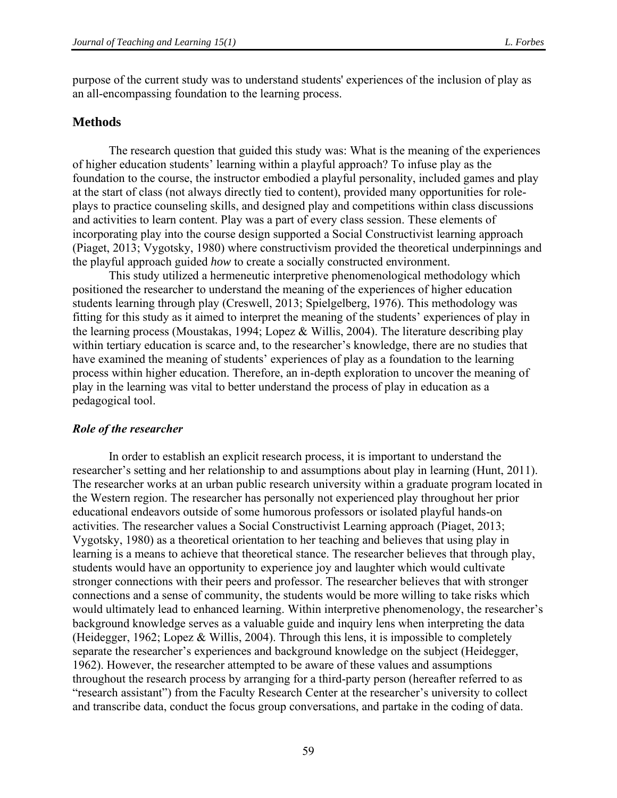purpose of the current study was to understand students' experiences of the inclusion of play as an all-encompassing foundation to the learning process.

#### **Methods**

The research question that guided this study was: What is the meaning of the experiences of higher education students' learning within a playful approach? To infuse play as the foundation to the course, the instructor embodied a playful personality, included games and play at the start of class (not always directly tied to content), provided many opportunities for roleplays to practice counseling skills, and designed play and competitions within class discussions and activities to learn content. Play was a part of every class session. These elements of incorporating play into the course design supported a Social Constructivist learning approach (Piaget, 2013; Vygotsky, 1980) where constructivism provided the theoretical underpinnings and the playful approach guided *how* to create a socially constructed environment.

This study utilized a hermeneutic interpretive phenomenological methodology which positioned the researcher to understand the meaning of the experiences of higher education students learning through play (Creswell, 2013; Spielgelberg, 1976). This methodology was fitting for this study as it aimed to interpret the meaning of the students' experiences of play in the learning process (Moustakas, 1994; Lopez & Willis, 2004). The literature describing play within tertiary education is scarce and, to the researcher's knowledge, there are no studies that have examined the meaning of students' experiences of play as a foundation to the learning process within higher education. Therefore, an in-depth exploration to uncover the meaning of play in the learning was vital to better understand the process of play in education as a pedagogical tool.

#### *Role of the researcher*

In order to establish an explicit research process, it is important to understand the researcher's setting and her relationship to and assumptions about play in learning (Hunt, 2011). The researcher works at an urban public research university within a graduate program located in the Western region. The researcher has personally not experienced play throughout her prior educational endeavors outside of some humorous professors or isolated playful hands-on activities. The researcher values a Social Constructivist Learning approach (Piaget, 2013; Vygotsky, 1980) as a theoretical orientation to her teaching and believes that using play in learning is a means to achieve that theoretical stance. The researcher believes that through play, students would have an opportunity to experience joy and laughter which would cultivate stronger connections with their peers and professor. The researcher believes that with stronger connections and a sense of community, the students would be more willing to take risks which would ultimately lead to enhanced learning. Within interpretive phenomenology, the researcher's background knowledge serves as a valuable guide and inquiry lens when interpreting the data (Heidegger, 1962; Lopez & Willis, 2004). Through this lens, it is impossible to completely separate the researcher's experiences and background knowledge on the subject (Heidegger, 1962). However, the researcher attempted to be aware of these values and assumptions throughout the research process by arranging for a third-party person (hereafter referred to as "research assistant") from the Faculty Research Center at the researcher's university to collect and transcribe data, conduct the focus group conversations, and partake in the coding of data.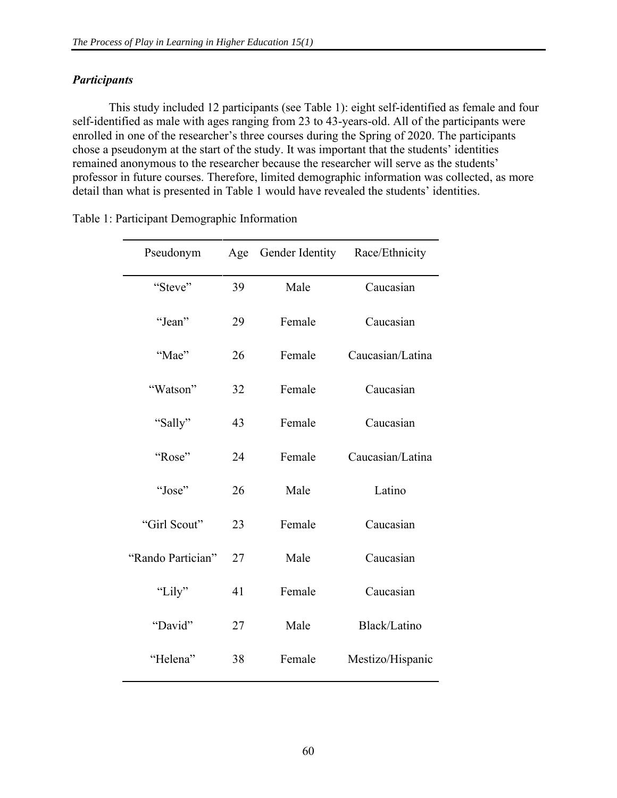# *Participants*

This study included 12 participants (see Table 1): eight self-identified as female and four self-identified as male with ages ranging from 23 to 43-years-old. All of the participants were enrolled in one of the researcher's three courses during the Spring of 2020. The participants chose a pseudonym at the start of the study. It was important that the students' identities remained anonymous to the researcher because the researcher will serve as the students' professor in future courses. Therefore, limited demographic information was collected, as more detail than what is presented in Table 1 would have revealed the students' identities.

| Pseudonym         | Age | Gender Identity | Race/Ethnicity   |
|-------------------|-----|-----------------|------------------|
| "Steve"           | 39  | Male            | Caucasian        |
| "Jean"            | 29  | Female          | Caucasian        |
| "Mae"             | 26  | Female          | Caucasian/Latina |
| "Watson"          | 32  | Female          | Caucasian        |
| "Sally"           | 43  | Female          | Caucasian        |
| "Rose"            | 24  | Female          | Caucasian/Latina |
| "Jose"            | 26  | Male            | Latino           |
| "Girl Scout"      | 23  | Female          | Caucasian        |
| "Rando Partician" | 27  | Male            | Caucasian        |
| "Lily"            | 41  | Female          | Caucasian        |
| "David"           | 27  | Male            | Black/Latino     |
| "Helena"          | 38  | Female          | Mestizo/Hispanic |

Table 1: Participant Demographic Information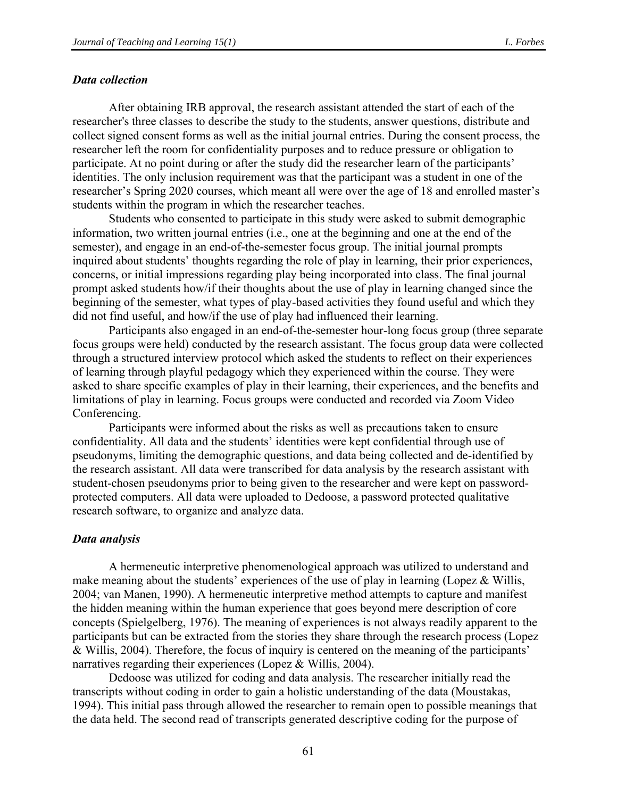#### *Data collection*

After obtaining IRB approval, the research assistant attended the start of each of the researcher's three classes to describe the study to the students, answer questions, distribute and collect signed consent forms as well as the initial journal entries. During the consent process, the researcher left the room for confidentiality purposes and to reduce pressure or obligation to participate. At no point during or after the study did the researcher learn of the participants' identities. The only inclusion requirement was that the participant was a student in one of the researcher's Spring 2020 courses, which meant all were over the age of 18 and enrolled master's students within the program in which the researcher teaches.

Students who consented to participate in this study were asked to submit demographic information, two written journal entries (i.e., one at the beginning and one at the end of the semester), and engage in an end-of-the-semester focus group. The initial journal prompts inquired about students' thoughts regarding the role of play in learning, their prior experiences, concerns, or initial impressions regarding play being incorporated into class. The final journal prompt asked students how/if their thoughts about the use of play in learning changed since the beginning of the semester, what types of play-based activities they found useful and which they did not find useful, and how/if the use of play had influenced their learning.

Participants also engaged in an end-of-the-semester hour-long focus group (three separate focus groups were held) conducted by the research assistant. The focus group data were collected through a structured interview protocol which asked the students to reflect on their experiences of learning through playful pedagogy which they experienced within the course. They were asked to share specific examples of play in their learning, their experiences, and the benefits and limitations of play in learning. Focus groups were conducted and recorded via Zoom Video Conferencing.

Participants were informed about the risks as well as precautions taken to ensure confidentiality. All data and the students' identities were kept confidential through use of pseudonyms, limiting the demographic questions, and data being collected and de-identified by the research assistant. All data were transcribed for data analysis by the research assistant with student-chosen pseudonyms prior to being given to the researcher and were kept on passwordprotected computers. All data were uploaded to Dedoose, a password protected qualitative research software, to organize and analyze data.

#### *Data analysis*

A hermeneutic interpretive phenomenological approach was utilized to understand and make meaning about the students' experiences of the use of play in learning (Lopez & Willis, 2004; van Manen, 1990). A hermeneutic interpretive method attempts to capture and manifest the hidden meaning within the human experience that goes beyond mere description of core concepts (Spielgelberg, 1976). The meaning of experiences is not always readily apparent to the participants but can be extracted from the stories they share through the research process (Lopez & Willis, 2004). Therefore, the focus of inquiry is centered on the meaning of the participants' narratives regarding their experiences (Lopez & Willis, 2004).

Dedoose was utilized for coding and data analysis. The researcher initially read the transcripts without coding in order to gain a holistic understanding of the data (Moustakas, 1994). This initial pass through allowed the researcher to remain open to possible meanings that the data held. The second read of transcripts generated descriptive coding for the purpose of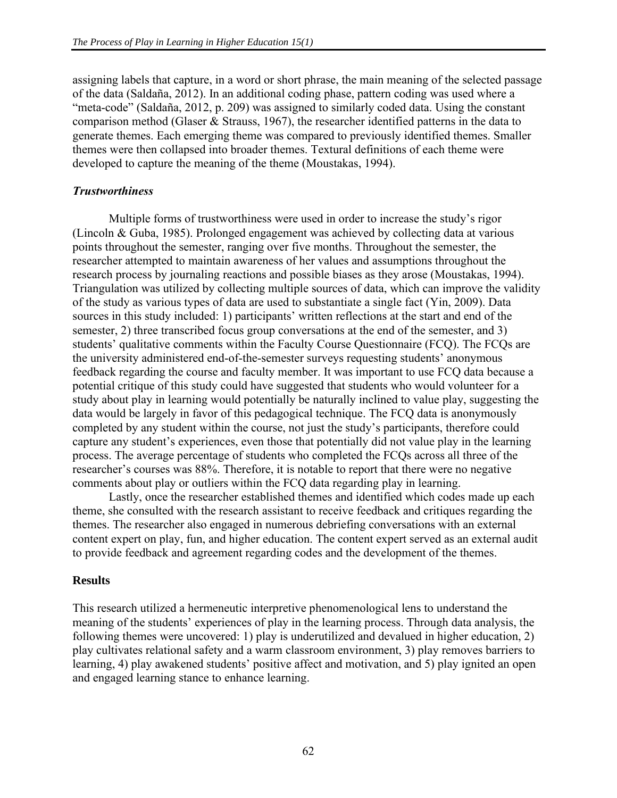assigning labels that capture, in a word or short phrase, the main meaning of the selected passage of the data (Saldaña, 2012). In an additional coding phase, pattern coding was used where a "meta-code" (Saldaña, 2012, p. 209) was assigned to similarly coded data. Using the constant comparison method (Glaser & Strauss, 1967), the researcher identified patterns in the data to generate themes. Each emerging theme was compared to previously identified themes. Smaller themes were then collapsed into broader themes. Textural definitions of each theme were developed to capture the meaning of the theme (Moustakas, 1994).

#### *Trustworthiness*

Multiple forms of trustworthiness were used in order to increase the study's rigor (Lincoln & Guba, 1985). Prolonged engagement was achieved by collecting data at various points throughout the semester, ranging over five months. Throughout the semester, the researcher attempted to maintain awareness of her values and assumptions throughout the research process by journaling reactions and possible biases as they arose (Moustakas, 1994). Triangulation was utilized by collecting multiple sources of data, which can improve the validity of the study as various types of data are used to substantiate a single fact (Yin, 2009). Data sources in this study included: 1) participants' written reflections at the start and end of the semester, 2) three transcribed focus group conversations at the end of the semester, and 3) students' qualitative comments within the Faculty Course Questionnaire (FCQ). The FCQs are the university administered end-of-the-semester surveys requesting students' anonymous feedback regarding the course and faculty member. It was important to use FCQ data because a potential critique of this study could have suggested that students who would volunteer for a study about play in learning would potentially be naturally inclined to value play, suggesting the data would be largely in favor of this pedagogical technique. The FCQ data is anonymously completed by any student within the course, not just the study's participants, therefore could capture any student's experiences, even those that potentially did not value play in the learning process. The average percentage of students who completed the FCQs across all three of the researcher's courses was 88%. Therefore, it is notable to report that there were no negative comments about play or outliers within the FCQ data regarding play in learning.

Lastly, once the researcher established themes and identified which codes made up each theme, she consulted with the research assistant to receive feedback and critiques regarding the themes. The researcher also engaged in numerous debriefing conversations with an external content expert on play, fun, and higher education. The content expert served as an external audit to provide feedback and agreement regarding codes and the development of the themes.

#### **Results**

This research utilized a hermeneutic interpretive phenomenological lens to understand the meaning of the students' experiences of play in the learning process. Through data analysis, the following themes were uncovered: 1) play is underutilized and devalued in higher education, 2) play cultivates relational safety and a warm classroom environment, 3) play removes barriers to learning, 4) play awakened students' positive affect and motivation, and 5) play ignited an open and engaged learning stance to enhance learning.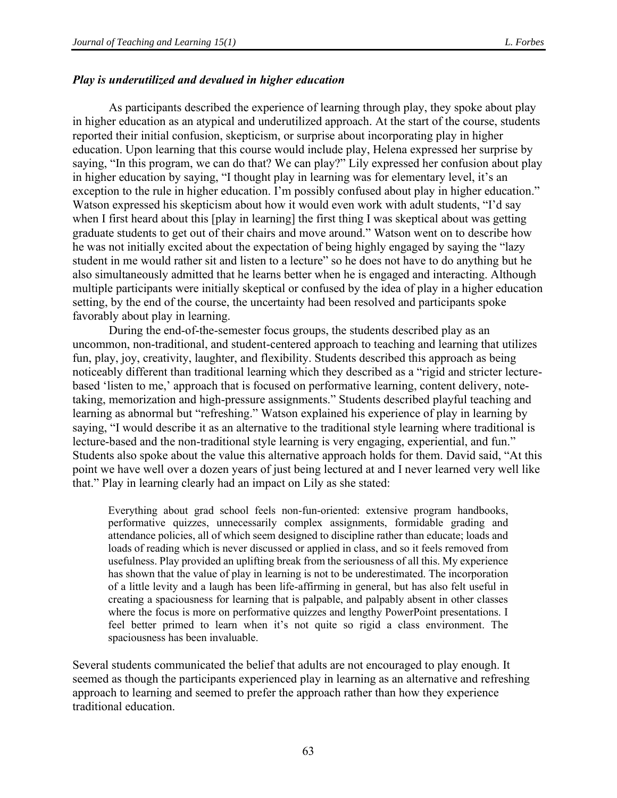#### *Play is underutilized and devalued in higher education*

As participants described the experience of learning through play, they spoke about play in higher education as an atypical and underutilized approach. At the start of the course, students reported their initial confusion, skepticism, or surprise about incorporating play in higher education. Upon learning that this course would include play, Helena expressed her surprise by saying, "In this program, we can do that? We can play?" Lily expressed her confusion about play in higher education by saying, "I thought play in learning was for elementary level, it's an exception to the rule in higher education. I'm possibly confused about play in higher education." Watson expressed his skepticism about how it would even work with adult students, "I'd say when I first heard about this [play in learning] the first thing I was skeptical about was getting graduate students to get out of their chairs and move around." Watson went on to describe how he was not initially excited about the expectation of being highly engaged by saying the "lazy student in me would rather sit and listen to a lecture" so he does not have to do anything but he also simultaneously admitted that he learns better when he is engaged and interacting. Although multiple participants were initially skeptical or confused by the idea of play in a higher education setting, by the end of the course, the uncertainty had been resolved and participants spoke favorably about play in learning.

During the end-of-the-semester focus groups, the students described play as an uncommon, non-traditional, and student-centered approach to teaching and learning that utilizes fun, play, joy, creativity, laughter, and flexibility. Students described this approach as being noticeably different than traditional learning which they described as a "rigid and stricter lecturebased 'listen to me,' approach that is focused on performative learning, content delivery, notetaking, memorization and high-pressure assignments." Students described playful teaching and learning as abnormal but "refreshing." Watson explained his experience of play in learning by saying, "I would describe it as an alternative to the traditional style learning where traditional is lecture-based and the non-traditional style learning is very engaging, experiential, and fun." Students also spoke about the value this alternative approach holds for them. David said, "At this point we have well over a dozen years of just being lectured at and I never learned very well like that." Play in learning clearly had an impact on Lily as she stated:

Everything about grad school feels non-fun-oriented: extensive program handbooks, performative quizzes, unnecessarily complex assignments, formidable grading and attendance policies, all of which seem designed to discipline rather than educate; loads and loads of reading which is never discussed or applied in class, and so it feels removed from usefulness. Play provided an uplifting break from the seriousness of all this. My experience has shown that the value of play in learning is not to be underestimated. The incorporation of a little levity and a laugh has been life-affirming in general, but has also felt useful in creating a spaciousness for learning that is palpable, and palpably absent in other classes where the focus is more on performative quizzes and lengthy PowerPoint presentations. I feel better primed to learn when it's not quite so rigid a class environment. The spaciousness has been invaluable.

Several students communicated the belief that adults are not encouraged to play enough. It seemed as though the participants experienced play in learning as an alternative and refreshing approach to learning and seemed to prefer the approach rather than how they experience traditional education.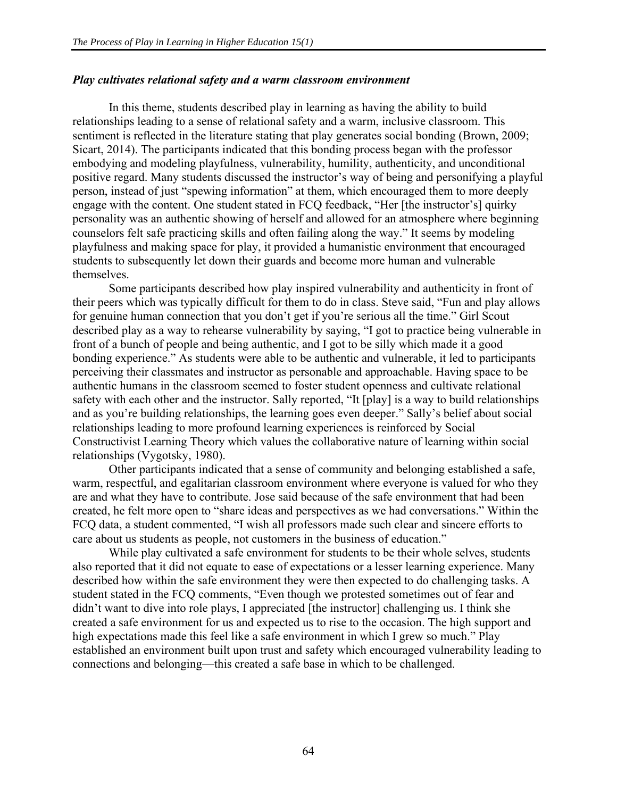#### *Play cultivates relational safety and a warm classroom environment*

In this theme, students described play in learning as having the ability to build relationships leading to a sense of relational safety and a warm, inclusive classroom. This sentiment is reflected in the literature stating that play generates social bonding (Brown, 2009; Sicart, 2014). The participants indicated that this bonding process began with the professor embodying and modeling playfulness, vulnerability, humility, authenticity, and unconditional positive regard. Many students discussed the instructor's way of being and personifying a playful person, instead of just "spewing information" at them, which encouraged them to more deeply engage with the content. One student stated in FCQ feedback, "Her [the instructor's] quirky personality was an authentic showing of herself and allowed for an atmosphere where beginning counselors felt safe practicing skills and often failing along the way." It seems by modeling playfulness and making space for play, it provided a humanistic environment that encouraged students to subsequently let down their guards and become more human and vulnerable themselves.

Some participants described how play inspired vulnerability and authenticity in front of their peers which was typically difficult for them to do in class. Steve said, "Fun and play allows for genuine human connection that you don't get if you're serious all the time." Girl Scout described play as a way to rehearse vulnerability by saying, "I got to practice being vulnerable in front of a bunch of people and being authentic, and I got to be silly which made it a good bonding experience." As students were able to be authentic and vulnerable, it led to participants perceiving their classmates and instructor as personable and approachable. Having space to be authentic humans in the classroom seemed to foster student openness and cultivate relational safety with each other and the instructor. Sally reported, "It [play] is a way to build relationships and as you're building relationships, the learning goes even deeper." Sally's belief about social relationships leading to more profound learning experiences is reinforced by Social Constructivist Learning Theory which values the collaborative nature of learning within social relationships (Vygotsky, 1980).

Other participants indicated that a sense of community and belonging established a safe, warm, respectful, and egalitarian classroom environment where everyone is valued for who they are and what they have to contribute. Jose said because of the safe environment that had been created, he felt more open to "share ideas and perspectives as we had conversations." Within the FCQ data, a student commented, "I wish all professors made such clear and sincere efforts to care about us students as people, not customers in the business of education."

While play cultivated a safe environment for students to be their whole selves, students also reported that it did not equate to ease of expectations or a lesser learning experience. Many described how within the safe environment they were then expected to do challenging tasks. A student stated in the FCQ comments, "Even though we protested sometimes out of fear and didn't want to dive into role plays, I appreciated [the instructor] challenging us. I think she created a safe environment for us and expected us to rise to the occasion. The high support and high expectations made this feel like a safe environment in which I grew so much." Play established an environment built upon trust and safety which encouraged vulnerability leading to connections and belonging—this created a safe base in which to be challenged.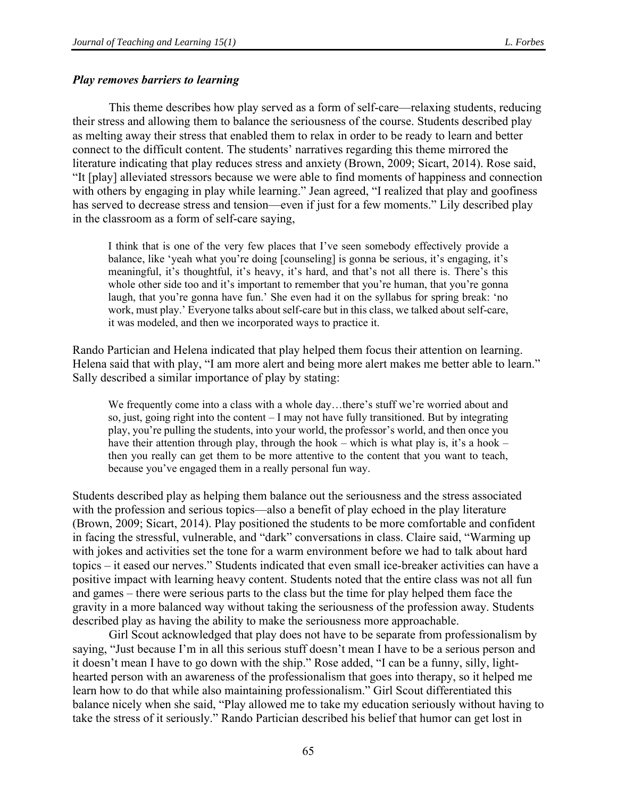#### *Play removes barriers to learning*

This theme describes how play served as a form of self-care—relaxing students, reducing their stress and allowing them to balance the seriousness of the course. Students described play as melting away their stress that enabled them to relax in order to be ready to learn and better connect to the difficult content. The students' narratives regarding this theme mirrored the literature indicating that play reduces stress and anxiety (Brown, 2009; Sicart, 2014). Rose said, "It [play] alleviated stressors because we were able to find moments of happiness and connection with others by engaging in play while learning." Jean agreed, "I realized that play and goofiness has served to decrease stress and tension—even if just for a few moments." Lily described play in the classroom as a form of self-care saying,

I think that is one of the very few places that I've seen somebody effectively provide a balance, like 'yeah what you're doing [counseling] is gonna be serious, it's engaging, it's meaningful, it's thoughtful, it's heavy, it's hard, and that's not all there is. There's this whole other side too and it's important to remember that you're human, that you're gonna laugh, that you're gonna have fun.' She even had it on the syllabus for spring break: 'no work, must play.' Everyone talks about self-care but in this class, we talked about self-care, it was modeled, and then we incorporated ways to practice it.

Rando Partician and Helena indicated that play helped them focus their attention on learning. Helena said that with play, "I am more alert and being more alert makes me better able to learn." Sally described a similar importance of play by stating:

We frequently come into a class with a whole day…there's stuff we're worried about and so, just, going right into the content – I may not have fully transitioned. But by integrating play, you're pulling the students, into your world, the professor's world, and then once you have their attention through play, through the hook – which is what play is, it's a hook – then you really can get them to be more attentive to the content that you want to teach, because you've engaged them in a really personal fun way.

Students described play as helping them balance out the seriousness and the stress associated with the profession and serious topics—also a benefit of play echoed in the play literature (Brown, 2009; Sicart, 2014). Play positioned the students to be more comfortable and confident in facing the stressful, vulnerable, and "dark" conversations in class. Claire said, "Warming up with jokes and activities set the tone for a warm environment before we had to talk about hard topics – it eased our nerves." Students indicated that even small ice-breaker activities can have a positive impact with learning heavy content. Students noted that the entire class was not all fun and games – there were serious parts to the class but the time for play helped them face the gravity in a more balanced way without taking the seriousness of the profession away. Students described play as having the ability to make the seriousness more approachable.

Girl Scout acknowledged that play does not have to be separate from professionalism by saying, "Just because I'm in all this serious stuff doesn't mean I have to be a serious person and it doesn't mean I have to go down with the ship." Rose added, "I can be a funny, silly, lighthearted person with an awareness of the professionalism that goes into therapy, so it helped me learn how to do that while also maintaining professionalism." Girl Scout differentiated this balance nicely when she said, "Play allowed me to take my education seriously without having to take the stress of it seriously." Rando Partician described his belief that humor can get lost in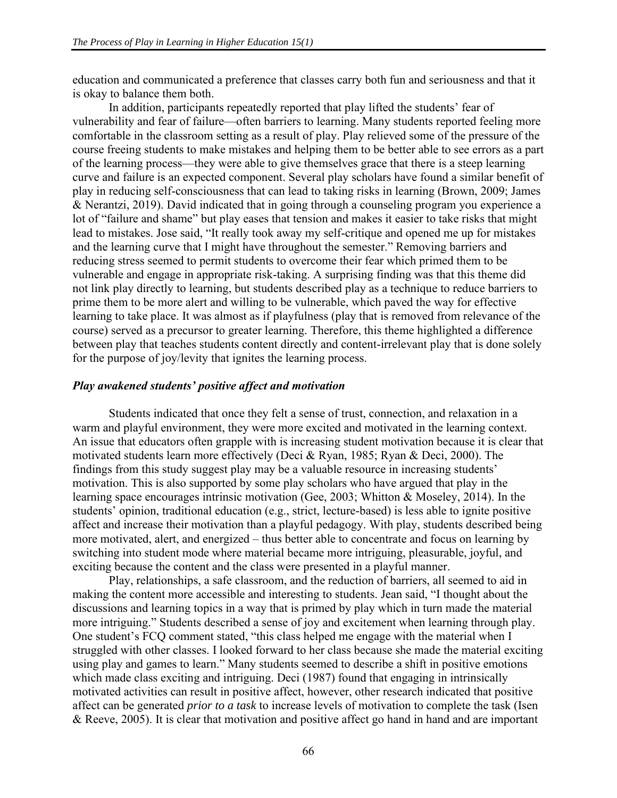education and communicated a preference that classes carry both fun and seriousness and that it is okay to balance them both.

In addition, participants repeatedly reported that play lifted the students' fear of vulnerability and fear of failure—often barriers to learning. Many students reported feeling more comfortable in the classroom setting as a result of play. Play relieved some of the pressure of the course freeing students to make mistakes and helping them to be better able to see errors as a part of the learning process—they were able to give themselves grace that there is a steep learning curve and failure is an expected component. Several play scholars have found a similar benefit of play in reducing self-consciousness that can lead to taking risks in learning (Brown, 2009; James & Nerantzi, 2019). David indicated that in going through a counseling program you experience a lot of "failure and shame" but play eases that tension and makes it easier to take risks that might lead to mistakes. Jose said, "It really took away my self-critique and opened me up for mistakes and the learning curve that I might have throughout the semester." Removing barriers and reducing stress seemed to permit students to overcome their fear which primed them to be vulnerable and engage in appropriate risk-taking. A surprising finding was that this theme did not link play directly to learning, but students described play as a technique to reduce barriers to prime them to be more alert and willing to be vulnerable, which paved the way for effective learning to take place. It was almost as if playfulness (play that is removed from relevance of the course) served as a precursor to greater learning. Therefore, this theme highlighted a difference between play that teaches students content directly and content-irrelevant play that is done solely for the purpose of joy/levity that ignites the learning process.

#### *Play awakened students' positive affect and motivation*

Students indicated that once they felt a sense of trust, connection, and relaxation in a warm and playful environment, they were more excited and motivated in the learning context. An issue that educators often grapple with is increasing student motivation because it is clear that motivated students learn more effectively (Deci & Ryan, 1985; Ryan & Deci, 2000). The findings from this study suggest play may be a valuable resource in increasing students' motivation. This is also supported by some play scholars who have argued that play in the learning space encourages intrinsic motivation (Gee, 2003; Whitton & Moseley, 2014). In the students' opinion, traditional education (e.g., strict, lecture-based) is less able to ignite positive affect and increase their motivation than a playful pedagogy. With play, students described being more motivated, alert, and energized – thus better able to concentrate and focus on learning by switching into student mode where material became more intriguing, pleasurable, joyful, and exciting because the content and the class were presented in a playful manner.

Play, relationships, a safe classroom, and the reduction of barriers, all seemed to aid in making the content more accessible and interesting to students. Jean said, "I thought about the discussions and learning topics in a way that is primed by play which in turn made the material more intriguing." Students described a sense of joy and excitement when learning through play. One student's FCQ comment stated, "this class helped me engage with the material when I struggled with other classes. I looked forward to her class because she made the material exciting using play and games to learn." Many students seemed to describe a shift in positive emotions which made class exciting and intriguing. Deci (1987) found that engaging in intrinsically motivated activities can result in positive affect, however, other research indicated that positive affect can be generated *prior to a task* to increase levels of motivation to complete the task (Isen & Reeve, 2005). It is clear that motivation and positive affect go hand in hand and are important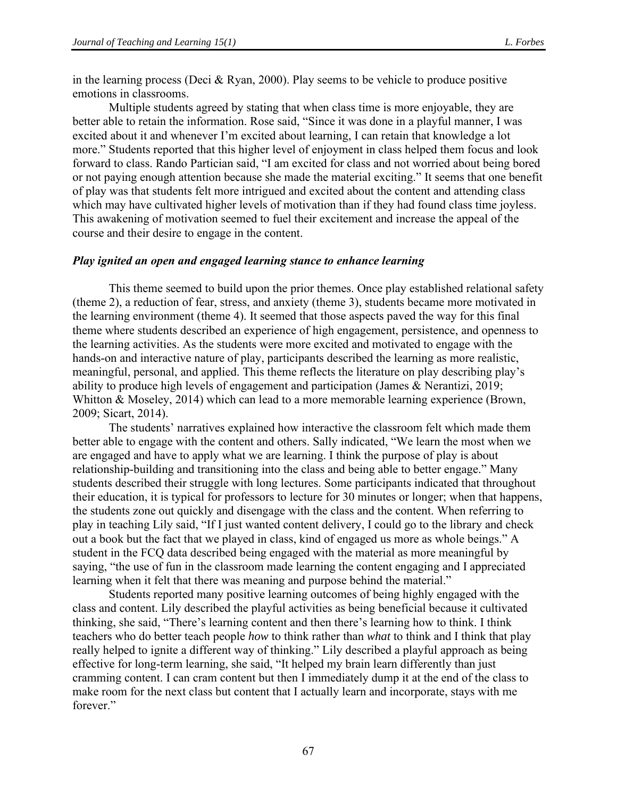in the learning process (Deci & Ryan, 2000). Play seems to be vehicle to produce positive emotions in classrooms.

Multiple students agreed by stating that when class time is more enjoyable, they are better able to retain the information. Rose said, "Since it was done in a playful manner, I was excited about it and whenever I'm excited about learning, I can retain that knowledge a lot more." Students reported that this higher level of enjoyment in class helped them focus and look forward to class. Rando Partician said, "I am excited for class and not worried about being bored or not paying enough attention because she made the material exciting." It seems that one benefit of play was that students felt more intrigued and excited about the content and attending class which may have cultivated higher levels of motivation than if they had found class time joyless. This awakening of motivation seemed to fuel their excitement and increase the appeal of the course and their desire to engage in the content.

#### *Play ignited an open and engaged learning stance to enhance learning*

This theme seemed to build upon the prior themes. Once play established relational safety (theme 2), a reduction of fear, stress, and anxiety (theme 3), students became more motivated in the learning environment (theme 4). It seemed that those aspects paved the way for this final theme where students described an experience of high engagement, persistence, and openness to the learning activities. As the students were more excited and motivated to engage with the hands-on and interactive nature of play, participants described the learning as more realistic, meaningful, personal, and applied. This theme reflects the literature on play describing play's ability to produce high levels of engagement and participation (James & Nerantizi, 2019; Whitton & Moseley, 2014) which can lead to a more memorable learning experience (Brown, 2009; Sicart, 2014).

The students' narratives explained how interactive the classroom felt which made them better able to engage with the content and others. Sally indicated, "We learn the most when we are engaged and have to apply what we are learning. I think the purpose of play is about relationship-building and transitioning into the class and being able to better engage." Many students described their struggle with long lectures. Some participants indicated that throughout their education, it is typical for professors to lecture for 30 minutes or longer; when that happens, the students zone out quickly and disengage with the class and the content. When referring to play in teaching Lily said, "If I just wanted content delivery, I could go to the library and check out a book but the fact that we played in class, kind of engaged us more as whole beings." A student in the FCQ data described being engaged with the material as more meaningful by saying, "the use of fun in the classroom made learning the content engaging and I appreciated learning when it felt that there was meaning and purpose behind the material."

Students reported many positive learning outcomes of being highly engaged with the class and content. Lily described the playful activities as being beneficial because it cultivated thinking, she said, "There's learning content and then there's learning how to think. I think teachers who do better teach people *how* to think rather than *what* to think and I think that play really helped to ignite a different way of thinking." Lily described a playful approach as being effective for long-term learning, she said, "It helped my brain learn differently than just cramming content. I can cram content but then I immediately dump it at the end of the class to make room for the next class but content that I actually learn and incorporate, stays with me forever."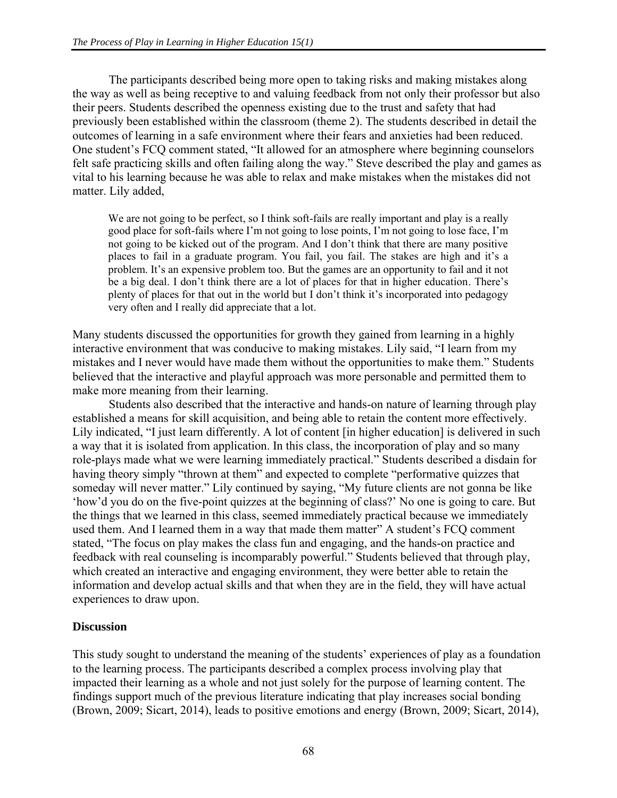The participants described being more open to taking risks and making mistakes along the way as well as being receptive to and valuing feedback from not only their professor but also their peers. Students described the openness existing due to the trust and safety that had previously been established within the classroom (theme 2). The students described in detail the outcomes of learning in a safe environment where their fears and anxieties had been reduced. One student's FCQ comment stated, "It allowed for an atmosphere where beginning counselors felt safe practicing skills and often failing along the way." Steve described the play and games as vital to his learning because he was able to relax and make mistakes when the mistakes did not matter. Lily added,

We are not going to be perfect, so I think soft-fails are really important and play is a really good place for soft-fails where I'm not going to lose points, I'm not going to lose face, I'm not going to be kicked out of the program. And I don't think that there are many positive places to fail in a graduate program. You fail, you fail. The stakes are high and it's a problem. It's an expensive problem too. But the games are an opportunity to fail and it not be a big deal. I don't think there are a lot of places for that in higher education. There's plenty of places for that out in the world but I don't think it's incorporated into pedagogy very often and I really did appreciate that a lot.

Many students discussed the opportunities for growth they gained from learning in a highly interactive environment that was conducive to making mistakes. Lily said, "I learn from my mistakes and I never would have made them without the opportunities to make them." Students believed that the interactive and playful approach was more personable and permitted them to make more meaning from their learning.

Students also described that the interactive and hands-on nature of learning through play established a means for skill acquisition, and being able to retain the content more effectively. Lily indicated, "I just learn differently. A lot of content [in higher education] is delivered in such a way that it is isolated from application. In this class, the incorporation of play and so many role-plays made what we were learning immediately practical." Students described a disdain for having theory simply "thrown at them" and expected to complete "performative quizzes that someday will never matter." Lily continued by saying, "My future clients are not gonna be like 'how'd you do on the five-point quizzes at the beginning of class?' No one is going to care. But the things that we learned in this class, seemed immediately practical because we immediately used them. And I learned them in a way that made them matter" A student's FCQ comment stated, "The focus on play makes the class fun and engaging, and the hands-on practice and feedback with real counseling is incomparably powerful." Students believed that through play, which created an interactive and engaging environment, they were better able to retain the information and develop actual skills and that when they are in the field, they will have actual experiences to draw upon.

# **Discussion**

This study sought to understand the meaning of the students' experiences of play as a foundation to the learning process. The participants described a complex process involving play that impacted their learning as a whole and not just solely for the purpose of learning content. The findings support much of the previous literature indicating that play increases social bonding (Brown, 2009; Sicart, 2014), leads to positive emotions and energy (Brown, 2009; Sicart, 2014),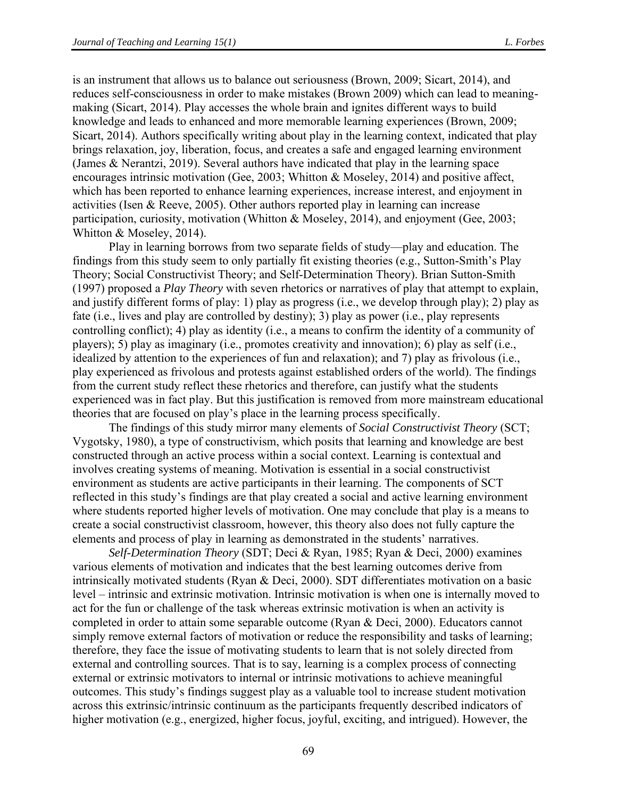is an instrument that allows us to balance out seriousness (Brown, 2009; Sicart, 2014), and reduces self-consciousness in order to make mistakes (Brown 2009) which can lead to meaningmaking (Sicart, 2014). Play accesses the whole brain and ignites different ways to build knowledge and leads to enhanced and more memorable learning experiences (Brown, 2009; Sicart, 2014). Authors specifically writing about play in the learning context, indicated that play brings relaxation, joy, liberation, focus, and creates a safe and engaged learning environment (James & Nerantzi, 2019). Several authors have indicated that play in the learning space encourages intrinsic motivation (Gee, 2003; Whitton & Moseley, 2014) and positive affect, which has been reported to enhance learning experiences, increase interest, and enjoyment in activities (Isen & Reeve, 2005). Other authors reported play in learning can increase participation, curiosity, motivation (Whitton & Moseley, 2014), and enjoyment (Gee, 2003; Whitton & Moseley, 2014).

Play in learning borrows from two separate fields of study—play and education. The findings from this study seem to only partially fit existing theories (e.g., Sutton-Smith's Play Theory; Social Constructivist Theory; and Self-Determination Theory). Brian Sutton-Smith (1997) proposed a *Play Theory* with seven rhetorics or narratives of play that attempt to explain, and justify different forms of play: 1) play as progress (i.e., we develop through play); 2) play as fate (i.e., lives and play are controlled by destiny); 3) play as power (i.e., play represents controlling conflict); 4) play as identity (i.e., a means to confirm the identity of a community of players); 5) play as imaginary (i.e., promotes creativity and innovation); 6) play as self (i.e., idealized by attention to the experiences of fun and relaxation); and 7) play as frivolous (i.e., play experienced as frivolous and protests against established orders of the world). The findings from the current study reflect these rhetorics and therefore, can justify what the students experienced was in fact play. But this justification is removed from more mainstream educational theories that are focused on play's place in the learning process specifically.

The findings of this study mirror many elements of *Social Constructivist Theory* (SCT; Vygotsky, 1980), a type of constructivism, which posits that learning and knowledge are best constructed through an active process within a social context. Learning is contextual and involves creating systems of meaning. Motivation is essential in a social constructivist environment as students are active participants in their learning. The components of SCT reflected in this study's findings are that play created a social and active learning environment where students reported higher levels of motivation. One may conclude that play is a means to create a social constructivist classroom, however, this theory also does not fully capture the elements and process of play in learning as demonstrated in the students' narratives.

*Self-Determination Theory* (SDT; Deci & Ryan, 1985; Ryan & Deci, 2000) examines various elements of motivation and indicates that the best learning outcomes derive from intrinsically motivated students (Ryan & Deci, 2000). SDT differentiates motivation on a basic level – intrinsic and extrinsic motivation. Intrinsic motivation is when one is internally moved to act for the fun or challenge of the task whereas extrinsic motivation is when an activity is completed in order to attain some separable outcome (Ryan & Deci, 2000). Educators cannot simply remove external factors of motivation or reduce the responsibility and tasks of learning; therefore, they face the issue of motivating students to learn that is not solely directed from external and controlling sources. That is to say, learning is a complex process of connecting external or extrinsic motivators to internal or intrinsic motivations to achieve meaningful outcomes. This study's findings suggest play as a valuable tool to increase student motivation across this extrinsic/intrinsic continuum as the participants frequently described indicators of higher motivation (e.g., energized, higher focus, joyful, exciting, and intrigued). However, the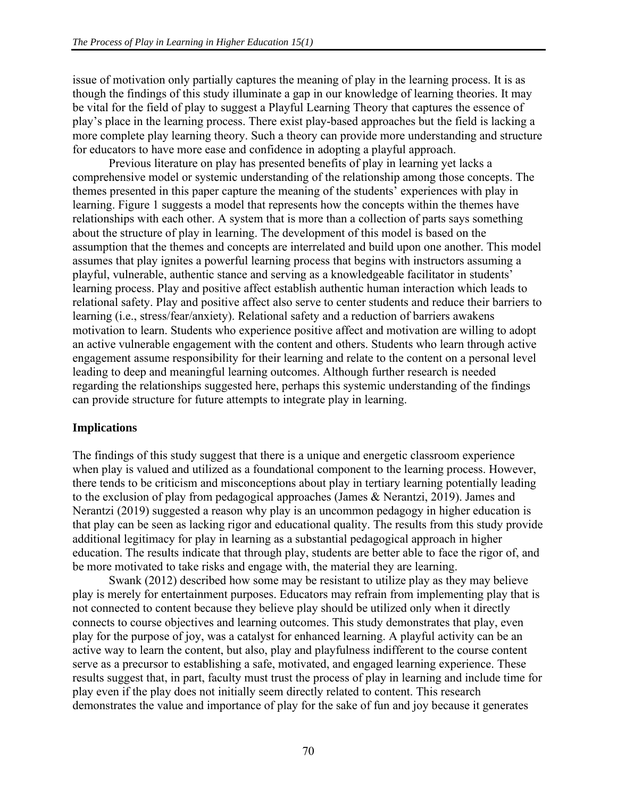issue of motivation only partially captures the meaning of play in the learning process. It is as though the findings of this study illuminate a gap in our knowledge of learning theories. It may be vital for the field of play to suggest a Playful Learning Theory that captures the essence of play's place in the learning process. There exist play-based approaches but the field is lacking a more complete play learning theory. Such a theory can provide more understanding and structure for educators to have more ease and confidence in adopting a playful approach.

Previous literature on play has presented benefits of play in learning yet lacks a comprehensive model or systemic understanding of the relationship among those concepts. The themes presented in this paper capture the meaning of the students' experiences with play in learning. Figure 1 suggests a model that represents how the concepts within the themes have relationships with each other. A system that is more than a collection of parts says something about the structure of play in learning. The development of this model is based on the assumption that the themes and concepts are interrelated and build upon one another. This model assumes that play ignites a powerful learning process that begins with instructors assuming a playful, vulnerable, authentic stance and serving as a knowledgeable facilitator in students' learning process. Play and positive affect establish authentic human interaction which leads to relational safety. Play and positive affect also serve to center students and reduce their barriers to learning (i.e., stress/fear/anxiety). Relational safety and a reduction of barriers awakens motivation to learn. Students who experience positive affect and motivation are willing to adopt an active vulnerable engagement with the content and others. Students who learn through active engagement assume responsibility for their learning and relate to the content on a personal level leading to deep and meaningful learning outcomes. Although further research is needed regarding the relationships suggested here, perhaps this systemic understanding of the findings can provide structure for future attempts to integrate play in learning.

#### **Implications**

The findings of this study suggest that there is a unique and energetic classroom experience when play is valued and utilized as a foundational component to the learning process. However, there tends to be criticism and misconceptions about play in tertiary learning potentially leading to the exclusion of play from pedagogical approaches (James & Nerantzi, 2019). James and Nerantzi (2019) suggested a reason why play is an uncommon pedagogy in higher education is that play can be seen as lacking rigor and educational quality. The results from this study provide additional legitimacy for play in learning as a substantial pedagogical approach in higher education. The results indicate that through play, students are better able to face the rigor of, and be more motivated to take risks and engage with, the material they are learning.

Swank (2012) described how some may be resistant to utilize play as they may believe play is merely for entertainment purposes. Educators may refrain from implementing play that is not connected to content because they believe play should be utilized only when it directly connects to course objectives and learning outcomes. This study demonstrates that play, even play for the purpose of joy, was a catalyst for enhanced learning. A playful activity can be an active way to learn the content, but also, play and playfulness indifferent to the course content serve as a precursor to establishing a safe, motivated, and engaged learning experience. These results suggest that, in part, faculty must trust the process of play in learning and include time for play even if the play does not initially seem directly related to content. This research demonstrates the value and importance of play for the sake of fun and joy because it generates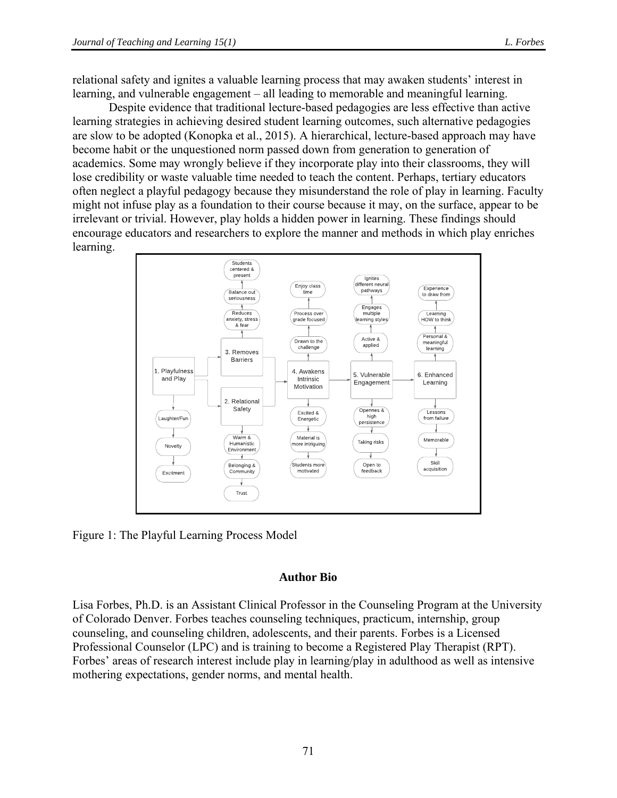relational safety and ignites a valuable learning process that may awaken students' interest in learning, and vulnerable engagement – all leading to memorable and meaningful learning.

Despite evidence that traditional lecture-based pedagogies are less effective than active learning strategies in achieving desired student learning outcomes, such alternative pedagogies are slow to be adopted (Konopka et al., 2015). A hierarchical, lecture-based approach may have become habit or the unquestioned norm passed down from generation to generation of academics. Some may wrongly believe if they incorporate play into their classrooms, they will lose credibility or waste valuable time needed to teach the content. Perhaps, tertiary educators often neglect a playful pedagogy because they misunderstand the role of play in learning. Faculty might not infuse play as a foundation to their course because it may, on the surface, appear to be irrelevant or trivial. However, play holds a hidden power in learning. These findings should encourage educators and researchers to explore the manner and methods in which play enriches learning.



Figure 1: The Playful Learning Process Model

#### **Author Bio**

Lisa Forbes, Ph.D. is an Assistant Clinical Professor in the Counseling Program at the University of Colorado Denver. Forbes teaches counseling techniques, practicum, internship, group counseling, and counseling children, adolescents, and their parents. Forbes is a Licensed Professional Counselor (LPC) and is training to become a Registered Play Therapist (RPT). Forbes' areas of research interest include play in learning/play in adulthood as well as intensive mothering expectations, gender norms, and mental health.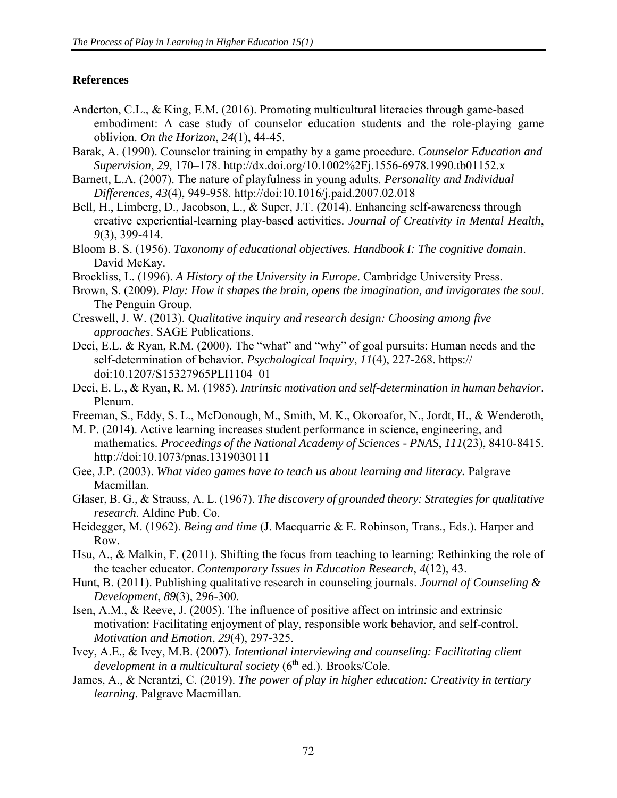### **References**

- Anderton, C.L., & King, E.M. (2016). Promoting multicultural literacies through game-based embodiment: A case study of counselor education students and the role-playing game oblivion. *On the Horizon*, *24*(1), 44-45.
- Barak, A. (1990). Counselor training in empathy by a game procedure. *Counselor Education and Supervision*, *29*, 170–178. http://dx.doi.org/10.1002%2Fj.1556-6978.1990.tb01152.x
- Barnett, L.A. (2007). The nature of playfulness in young adults. *Personality and Individual Differences*, *43*(4), 949-958. http://doi:10.1016/j.paid.2007.02.018
- Bell, H., Limberg, D., Jacobson, L., & Super, J.T. (2014). Enhancing self-awareness through creative experiential-learning play-based activities. *Journal of Creativity in Mental Health*, *9*(3), 399-414.
- Bloom B. S. (1956). *Taxonomy of educational objectives. Handbook I: The cognitive domain*. David McKay.
- Brockliss, L. (1996). *A History of the University in Europe*. Cambridge University Press.
- Brown, S. (2009). *Play: How it shapes the brain, opens the imagination, and invigorates the soul*. The Penguin Group.
- Creswell, J. W. (2013). *Qualitative inquiry and research design: Choosing among five approaches*. SAGE Publications.
- Deci, E.L. & Ryan, R.M. (2000). The "what" and "why" of goal pursuits: Human needs and the self-determination of behavior. *Psychological Inquiry*, *11*(4), 227-268. https:// doi:10.1207/S15327965PLI1104\_01
- Deci, E. L., & Ryan, R. M. (1985). *Intrinsic motivation and self-determination in human behavior*. Plenum.
- Freeman, S., Eddy, S. L., McDonough, M., Smith, M. K., Okoroafor, N., Jordt, H., & Wenderoth,
- M. P. (2014). Active learning increases student performance in science, engineering, and mathematics*. Proceedings of the National Academy of Sciences - PNAS*, *111*(23), 8410-8415. http://doi:10.1073/pnas.1319030111
- Gee, J.P. (2003). *What video games have to teach us about learning and literacy.* Palgrave Macmillan.
- Glaser, B. G., & Strauss, A. L. (1967). *The discovery of grounded theory: Strategies for qualitative research*. Aldine Pub. Co.
- Heidegger, M. (1962). *Being and time* (J. Macquarrie & E. Robinson, Trans., Eds.). Harper and Row.
- Hsu, A., & Malkin, F. (2011). Shifting the focus from teaching to learning: Rethinking the role of the teacher educator. *Contemporary Issues in Education Research*, *4*(12), 43.
- Hunt, B. (2011). Publishing qualitative research in counseling journals. *Journal of Counseling & Development*, *89*(3), 296-300.
- Isen, A.M., & Reeve, J. (2005). The influence of positive affect on intrinsic and extrinsic motivation: Facilitating enjoyment of play, responsible work behavior, and self-control. *Motivation and Emotion*, *29*(4), 297-325.
- Ivey, A.E., & Ivey, M.B. (2007). *Intentional interviewing and counseling: Facilitating client development in a multicultural society* (6 th ed.). Brooks/Cole.
- James, A., & Nerantzi, C. (2019). *The power of play in higher education: Creativity in tertiary learning*. Palgrave Macmillan.